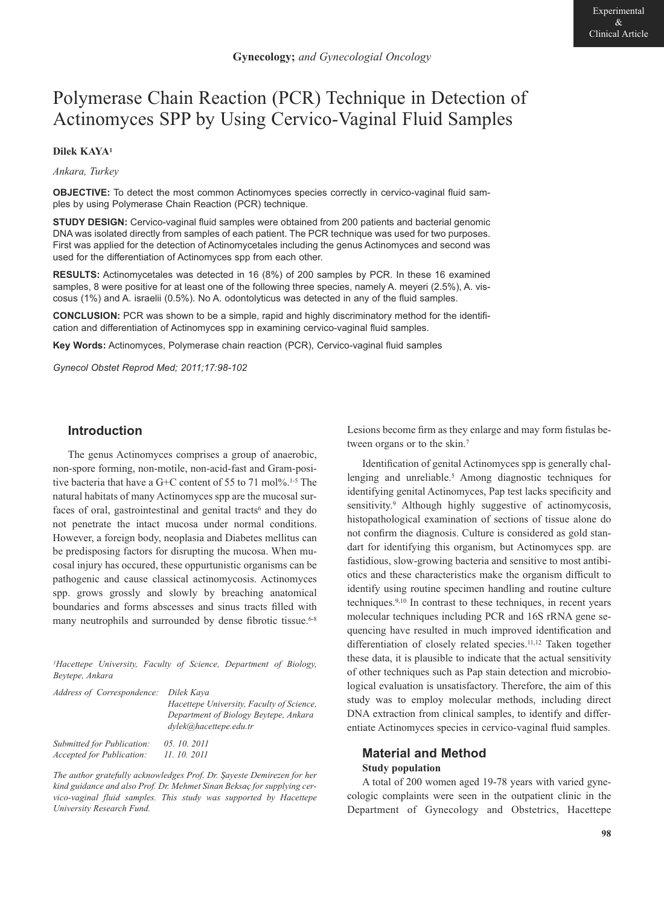# Polymerase Chain Reaction (PCR) Technique in Detection of Actinomyces SPP by Using Cervico-Vaginal Fluid Samples

## **Dilek KAYA1**

*Ankara, Turkey*

**OBJECTIVE:** To detect the most common Actinomyces species correctly in cervico-vaginal fluid samples by using Polymerase Chain Reaction (PCR) technique.

**STUDY DESIGN:** Cervico-vaginal fluid samples were obtained from 200 patients and bacterial genomic DNA was isolated directly from samples of each patient. The PCR technique was used for two purposes. First was applied for the detection of Actinomycetales including the genus Actinomyces and second was used for the differentiation of Actinomyces spp from each other.

**RESULTS:** Actinomycetales was detected in 16 (8%) of 200 samples by PCR. In these 16 examined samples, 8 were positive for at least one of the following three species, namely A. meyeri (2.5%), A. viscosus (1%) and A. israelii (0.5%). No A. odontolyticus was detected in any of the fluid samples.

**CONCLUSION:** PCR was shown to be a simple, rapid and highly discriminatory method for the identification and differentiation of Actinomyces spp in examining cervico-vaginal fluid samples.

**Key Words:** Actinomyces, Polymerase chain reaction (PCR), Cervico-vaginal fluid samples

*Gynecol Obstet Reprod Med; 2011;17:98-102*

# **Introduction**

The genus Actinomyces comprises a group of anaerobic, non-spore forming, non-motile, non-acid-fast and Gram-positive bacteria that have a G+C content of 55 to 71 mol%.<sup>1-5</sup> The natural habitats of many Actinomyces spp are the mucosal surfaces of oral, gastrointestinal and genital tracts<sup>6</sup> and they do not penetrate the intact mucosa under normal conditions. However, a foreign body, neoplasia and Diabetes mellitus can be predisposing factors for disrupting the mucosa. When mucosal injury has occured, these oppurtunistic organisms can be pathogenic and cause classical actinomycosis. Actinomyces spp. grows grossly and slowly by breaching anatomical boundaries and forms abscesses and sinus tracts filled with many neutrophils and surrounded by dense fibrotic tissue.<sup>6-8</sup>

*1Hacettepe University, Faculty of Science, Department of Biology, Beytepe, Ankara*

| Address of Correspondence: Dilek Kaya                          |                                                                                                              |  |
|----------------------------------------------------------------|--------------------------------------------------------------------------------------------------------------|--|
|                                                                | Hacettepe University, Faculty of Science,<br>Department of Biology Beytepe, Ankara<br>dylek@hacettepe.edu.tr |  |
| Submitted for Publication:<br><i>Accepted for Publication:</i> | 05.10.2011<br>11, 10, 2011                                                                                   |  |

*The author gratefully acknowledges Prof. Dr. Şayeste Demirezen for her kind guidance and also Prof. Dr. Mehmet Sinan Beksaç for supplying cervico-vaginal fluid samples. This study was supported by Hacettepe University Research Fund.*

Lesions become firm as they enlarge and may form fistulas between organs or to the skin.<sup>7</sup>

Identification of genital Actinomyces spp is generally challenging and unreliable.<sup>5</sup> Among diagnostic techniques for identifying genital Actinomyces, Pap test lacks specificity and sensitivity.<sup>9</sup> Although highly suggestive of actinomycosis, histopathological examination of sections of tissue alone do not confirm the diagnosis. Culture is considered as gold standart for identifying this organism, but Actinomyces spp. are fastidious, slow-growing bacteria and sensitive to most antibiotics and these characteristics make the organism difficult to identify using routine specimen handling and routine culture techniques.9,10 In contrast to these techniques, in recent years molecular techniques including PCR and 16S rRNA gene sequencing have resulted in much improved identification and differentiation of closely related species.11,12 Taken together these data, it is plausible to indicate that the actual sensitivity of other techniques such as Pap stain detection and microbiological evaluation is unsatisfactory. Therefore, the aim of this study was to employ molecular methods, including direct DNA extraction from clinical samples, to identify and differentiate Actinomyces species in cervico-vaginal fluid samples.

# **Material and Method Study population**

A total of 200 women aged 19-78 years with varied gynecologic complaints were seen in the outpatient clinic in the Department of Gynecology and Obstetrics, Hacettepe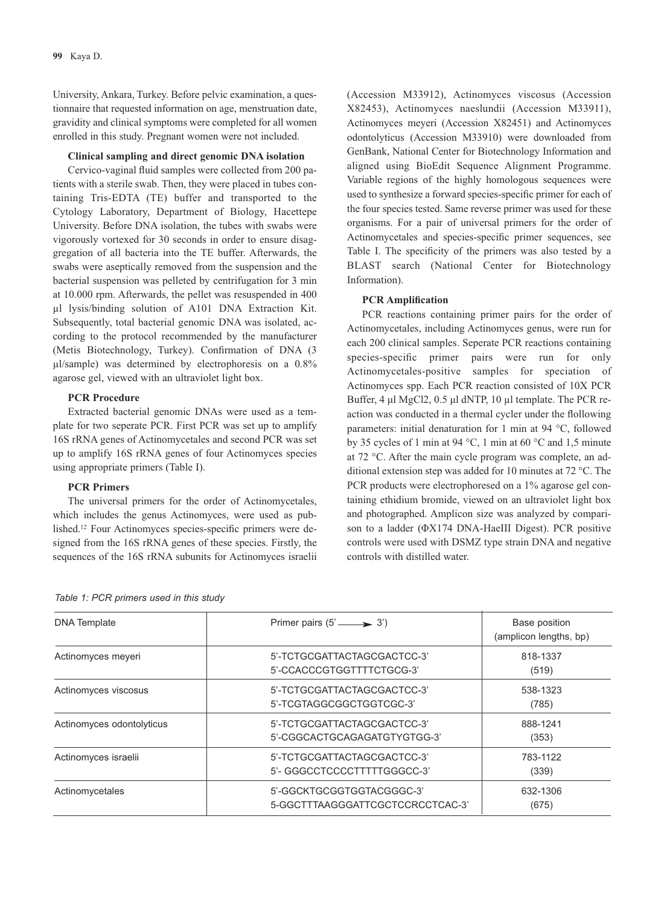University, Ankara, Turkey. Before pelvic examination, a questionnaire that requested information on age, menstruation date, gravidity and clinical symptoms were completed for all women enrolled in this study. Pregnant women were not included.

#### **Clinical sampling and direct genomic DNA isolation**

Cervico-vaginal fluid samples were collected from 200 patients with a sterile swab. Then, they were placed in tubes containing Tris-EDTA (TE) buffer and transported to the Cytology Laboratory, Department of Biology, Hacettepe University. Before DNA isolation, the tubes with swabs were vigorously vortexed for 30 seconds in order to ensure disaggregation of all bacteria into the TE buffer. Afterwards, the swabs were aseptically removed from the suspension and the bacterial suspension was pelleted by centrifugation for 3 min at 10.000 rpm. Afterwards, the pellet was resuspended in 400 µl lysis/binding solution of A101 DNA Extraction Kit. Subsequently, total bacterial genomic DNA was isolated, according to the protocol recommended by the manufacturer (Metis Biotechnology, Turkey). Confirmation of DNA (3 µl/sample) was determined by electrophoresis on a 0.8% agarose gel, viewed with an ultraviolet light box.

#### **PCR Procedure**

Extracted bacterial genomic DNAs were used as a template for two seperate PCR. First PCR was set up to amplify 16S rRNA genes of Actinomycetales and second PCR was set up to amplify 16S rRNA genes of four Actinomyces species using appropriate primers (Table I).

#### **PCR Primers**

The universal primers for the order of Actinomycetales, which includes the genus Actinomyces, were used as published.12 Four Actinomyces species-specific primers were designed from the 16S rRNA genes of these species. Firstly, the sequences of the 16S rRNA subunits for Actinomyces israelii (Accession M33912), Actinomyces viscosus (Accession X82453), Actinomyces naeslundii (Accession M33911), Actinomyces meyeri (Accession X82451) and Actinomyces odontolyticus (Accession M33910) were downloaded from GenBank, National Center for Biotechnology Information and aligned using BioEdit Sequence Alignment Programme. Variable regions of the highly homologous sequences were used to synthesize a forward species-specific primer for each of the four species tested. Same reverse primer was used for these organisms. For a pair of universal primers for the order of Actinomycetales and species-specific primer sequences, see Table I. The specificity of the primers was also tested by a BLAST search (National Center for Biotechnology Information).

#### **PCR Amplification**

PCR reactions containing primer pairs for the order of Actinomycetales, including Actinomyces genus, were run for each 200 clinical samples. Seperate PCR reactions containing species-specific primer pairs were run for only Actinomycetales-positive samples for speciation of Actinomyces spp. Each PCR reaction consisted of 10X PCR Buffer, 4 μl MgCl2, 0.5 μl dNTP, 10 µl template. The PCR reaction was conducted in a thermal cycler under the flollowing parameters: initial denaturation for 1 min at 94 °C, followed by 35 cycles of 1 min at 94 °C, 1 min at 60 °C and 1,5 minute at 72 °C. After the main cycle program was complete, an additional extension step was added for 10 minutes at 72 °C. The PCR products were electrophoresed on a 1% agarose gel containing ethidium bromide, viewed on an ultraviolet light box and photographed. Amplicon size was analyzed by comparison to a ladder (ΦX174 DNA-HaeIII Digest). PCR positive controls were used with DSMZ type strain DNA and negative controls with distilled water.

| <b>DNA</b> Template       | Primer pairs $(5' \longrightarrow 3')$                        | Base position<br>(amplicon lengths, bp) |
|---------------------------|---------------------------------------------------------------|-----------------------------------------|
| Actinomyces meyeri        | 5'-TCTGCGATTACTAGCGACTCC-3'<br>5'-CCACCCGTGGTTTTCTGCG-3'      | 818-1337<br>(519)                       |
| Actinomyces viscosus      | 5'-TCTGCGATTACTAGCGACTCC-3'<br>5'-TCGTAGGCGGCTGGTCGC-3'       | 538-1323<br>(785)                       |
| Actinomyces odontolyticus | 5'-TCTGCGATTACTAGCGACTCC-3'<br>5'-CGGCACTGCAGAGATGTYGTGG-3'   | 888-1241<br>(353)                       |
| Actinomyces israelii      | 5'-TCTGCGATTACTAGCGACTCC-3'<br>5'- GGGCCTCCCCTTTTTGGGCC-3'    | 783-1122<br>(339)                       |
| Actinomycetales           | 5'-GGCKTGCGGTGGTACGGGC-3'<br>5-GGCTTTAAGGGATTCGCTCCRCCTCAC-3' | 632-1306<br>(675)                       |

*Table 1: PCR primers used in this study*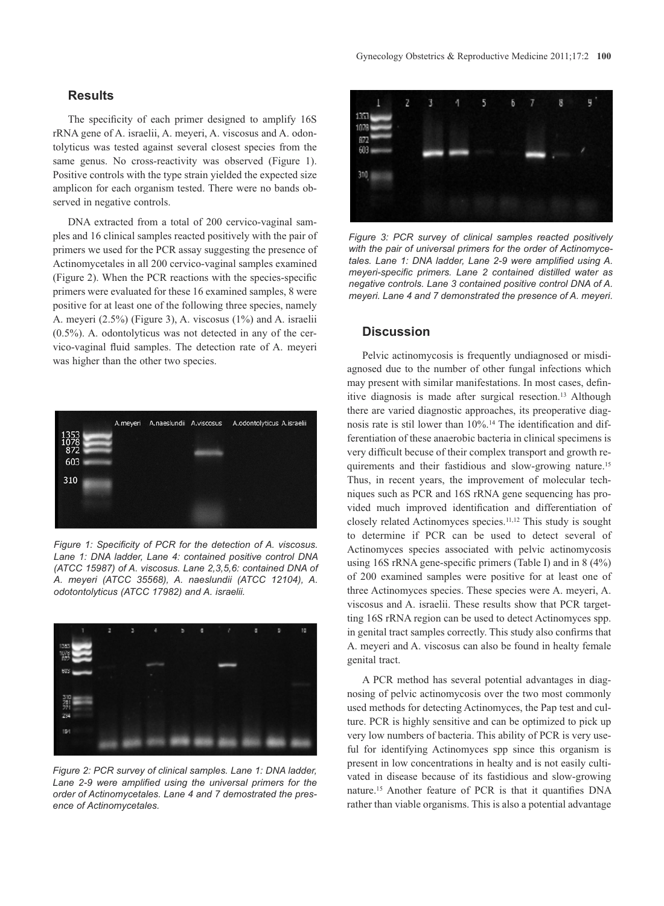## **Results**

The specificity of each primer designed to amplify 16S rRNA gene of A. israelii, A. meyeri, A. viscosus and A. odontolyticus was tested against several closest species from the same genus. No cross-reactivity was observed (Figure 1). Positive controls with the type strain yielded the expected size amplicon for each organism tested. There were no bands observed in negative controls.

DNA extracted from a total of 200 cervico-vaginal samples and 16 clinical samples reacted positively with the pair of primers we used for the PCR assay suggesting the presence of Actinomycetales in all 200 cervico-vaginal samples examined (Figure 2). When the PCR reactions with the species-specific primers were evaluated for these 16 examined samples, 8 were positive for at least one of the following three species, namely A. meyeri (2.5%) (Figure 3), A. viscosus (1%) and A. israelii (0.5%). A. odontolyticus was not detected in any of the cervico-vaginal fluid samples. The detection rate of A. meyeri was higher than the other two species.



*Figure 1: Specificity of PCR for the detection of A. viscosus. La ne 1: DNA ladder, Lane 4: contained positive control DNA (ATCC 15987) of A. viscosus. Lane 2,3,5,6: contained DNA of A. meyeri (ATCC 35568), A. naeslundii (ATCC 12104), A. odotontolyticus (ATCC 17982) and A. israelii.*



*Figure 2: PCR survey of clinical samples. Lane 1: DNA ladder, Lane 2-9 were amplified using the universal primers for the order of Actinomycetales. Lane 4 and 7 demostrated the presence of Actinomycetales.*



*Figure 3: PCR survey of clinical samples reacted positively with the pair of universal primers for the order of Actinomyce tales. Lane 1: DNA ladder, Lane 2-9 were amplified using A. meyeri-specific primers. Lane 2 contained distilled water as negative controls. Lane 3 contained positive control DNA of A. meyeri. Lane 4 and 7 demonstrated the presence of A. meyeri.* 

### **Discussion**

Pelvic actinomycosis is frequently undiagnosed or misdiagnosed due to the number of other fungal infections which may present with similar manifestations. In most cases, definitive diagnosis is made after surgical resection.13 Although there are varied diagnostic approaches, its preoperative diagnosis rate is stil lower than 10%.14 The identification and differentiation of these anaerobic bacteria in clinical specimens is very difficult becuse of their complex transport and growth requirements and their fastidious and slow-growing nature.15 Thus, in recent years, the improvement of molecular techniques such as PCR and 16S rRNA gene sequencing has provided much improved identification and differentiation of closely related Actinomyces species.11,12 This study is sought to determine if PCR can be used to detect several of Actinomyces species associated with pelvic actinomycosis using 16S rRNA gene-specific primers (Table I) and in 8 (4%) of 200 examined samples were positive for at least one of three Actinomyces species. These species were A. meyeri, A. viscosus and A. israelii. These results show that PCR targetting 16S rRNA region can be used to detect Actinomyces spp. in genital tract samples correctly. This study also confirms that A. meyeri and A. viscosus can also be found in healty female genital tract.

A PCR method has several potential advantages in diagnosing of pelvic actinomycosis over the two most commonly used methods for detecting Actinomyces, the Pap test and culture. PCR is highly sensitive and can be optimized to pick up very low numbers of bacteria. This ability of PCR is very useful for identifying Actinomyces spp since this organism is present in low concentrations in healty and is not easily cultivated in disease because of its fastidious and slow-growing nature.15 Another feature of PCR is that it quantifies DNA rather than viable organisms. This is also a potential advantage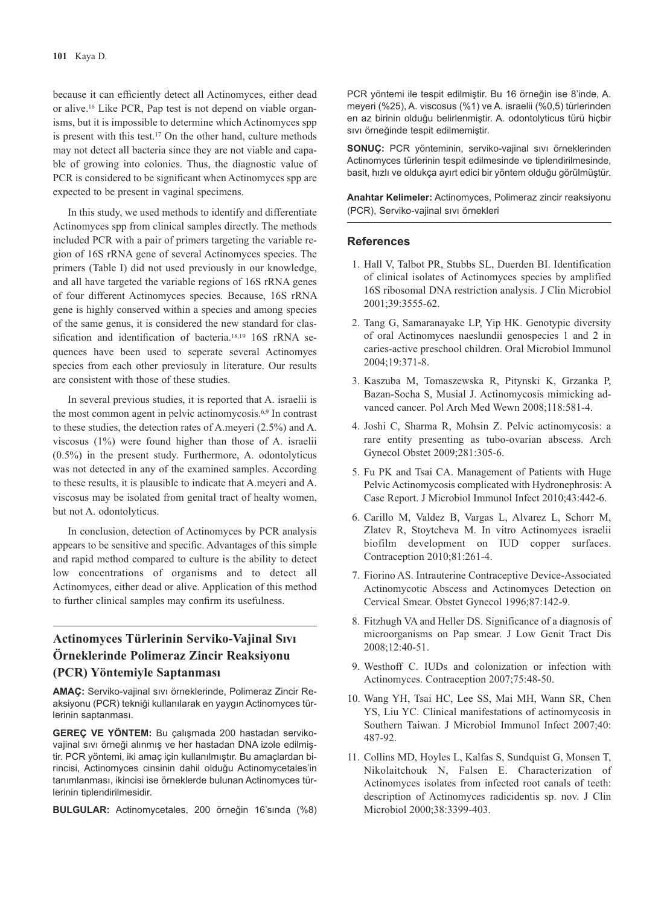because it can efficiently detect all Actinomyces, either dead or alive.16 Like PCR, Pap test is not depend on viable organisms, but it is impossible to determine which Actinomyces spp is present with this test.<sup>17</sup> On the other hand, culture methods may not detect all bacteria since they are not viable and capable of growing into colonies. Thus, the diagnostic value of PCR is considered to be significant when Actinomyces spp are expected to be present in vaginal specimens.

In this study, we used methods to identify and differentiate Actinomyces spp from clinical samples directly. The methods included PCR with a pair of primers targeting the variable region of 16S rRNA gene of several Actinomyces species. The primers (Table I) did not used previously in our knowledge, and all have targeted the variable regions of 16S rRNA genes of four different Actinomyces species. Because, 16S rRNA gene is highly conserved within a species and among species of the same genus, it is considered the new standard for classification and identification of bacteria.18,19 16S rRNA sequences have been used to seperate several Actinomyes species from each other previosuly in literature. Our results are consistent with those of these studies.

In several previous studies, it is reported that A. israelii is the most common agent in pelvic actinomycosis.6,9 In contrast to these studies, the detection rates of A.meyeri (2.5%) and A. viscosus (1%) were found higher than those of A. israelii (0.5%) in the present study. Furthermore, A. odontolyticus was not detected in any of the examined samples. According to these results, it is plausible to indicate that A.meyeri and A. viscosus may be isolated from genital tract of healty women, but not A. odontolyticus.

In conclusion, detection of Actinomyces by PCR analysis appears to be sensitive and specific. Advantages of this simple and rapid method compared to culture is the ability to detect low concentrations of organisms and to detect all Actinomyces, either dead or alive. Application of this method to further clinical samples may confirm its usefulness.

# **Actinomyces Türlerinin Serviko-Vajinal Sıvı Örneklerinde Polimeraz Zincir Reaksiyonu (PCR) Yöntemiyle Saptanması**

**AMAÇ:** Serviko-vajinal sıvı örneklerinde, Polimeraz Zincir Re ak siyonu (PCR) tekniği kullanılarak en yaygın Actinomyces türlerinin saptanması.

**GEREÇ VE YÖNTEM:** Bu çalışmada 200 hastadan servikovajinal sıvı örneği alınmış ve her hastadan DNA izole edilmiştir. PCR yöntemi, iki amaç için kullanılmıştır. Bu amaçlardan birincisi, Actinomyces cinsinin dahil olduğu Actinomycetales'in tanımlanması, ikincisi ise örneklerde bulunan Actinomyces türlerinin tiplendirilmesidir.

**BULGULAR:** Actinomycetales, 200 örneğin 16'sında (%8)

PCR yöntemi ile tespit edilmiştir. Bu 16 örneğin ise 8'inde, A. meyeri (%25), A. viscosus (%1) ve A. israelii (%0,5) türlerinden en az birinin olduğu belirlenmiştir. A. odontolyticus türü hiçbir sıvı örneğinde tespit edilmemiştir.

**SONUÇ:** PCR yönteminin, serviko-vajinal sıvı örneklerinden Actinomyces türlerinin tespit edilmesinde ve tiplendirilmesinde, basit, hızlı ve oldukça ayırt edici bir yöntem olduğu görülmüştür.

**Anahtar Kelimeler:** Actinomyces, Polimeraz zincir reaksiyonu (PCR), Serviko-vajinal sıvı örnekleri

#### **References**

- 1. Hall V, Talbot PR, Stubbs SL, Duerden BI. Identification of clinical isolates of Actinomyces species by amplified 16S ribosomal DNA restriction analysis. J Clin Microbiol 2001;39:3555-62.
- 2. Tang G, Samaranayake LP, Yip HK. Genotypic diversity of oral Actinomyces naeslundii genospecies 1 and 2 in caries-active preschool children. Oral Microbiol Immunol 2004;19:371-8.
- 3. Kaszuba M, Tomaszewska R, Pitynski K, Grzanka P, Bazan-Socha S, Musial J. Actinomycosis mimicking advanced cancer. Pol Arch Med Wewn 2008;118:581-4.
- 4. Joshi C, Sharma R, Mohsin Z. Pelvic actinomycosis: a rare entity presenting as tubo-ovarian abscess. Arch Gynecol Obstet 2009;281:305-6.
- 5. Fu PK and Tsai CA. Management of Patients with Huge Pelvic Actinomycosis complicated with Hydronephrosis: A Case Report. J Microbiol Immunol Infect 2010;43:442-6.
- 6. Carillo M, Valdez B, Vargas L, Alvarez L, Schorr M, Zlatev R, Stoytcheva M. In vitro Actinomyces israelii biofilm development on IUD copper surfaces. Contraception 2010;81:261-4.
- 7. Fiorino AS. Intrauterine Contraceptive Device-Associated Actinomycotic Abscess and Actinomyces Detection on Cervical Smear. Obstet Gynecol 1996;87:142-9.
- 8. Fitzhugh VA and Heller DS. Significance of a diagnosis of microorganisms on Pap smear. J Low Genit Tract Dis 2008;12:40-51.
- 9. Westhoff C. IUDs and colonization or infection with Actinomyces. Contraception 2007;75:48-50.
- 10. Wang YH, Tsai HC, Lee SS, Mai MH, Wann SR, Chen YS, Liu YC. Clinical manifestations of actinomycosis in Southern Taiwan. J Microbiol Immunol Infect 2007;40: 487-92.
- 11. Collins MD, Hoyles L, Kalfas S, Sundquist G, Monsen T, Nikolaitchouk N, Falsen E. Characterization of Actinomyces isolates from infected root canals of teeth: description of Actinomyces radicidentis sp. nov. J Clin Microbiol 2000;38:3399-403.